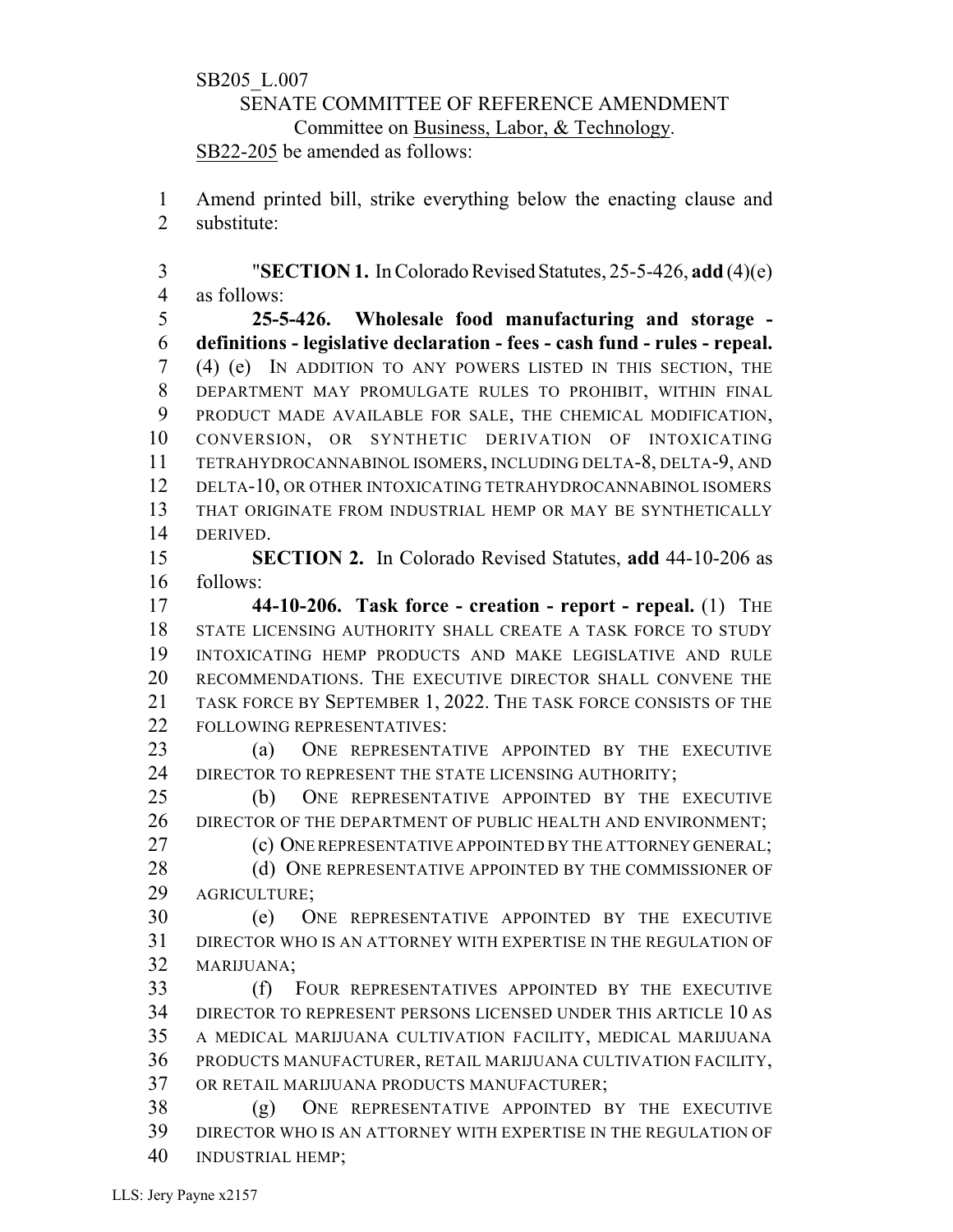## SB205\_L.007 SENATE COMMITTEE OF REFERENCE AMENDMENT Committee on Business, Labor, & Technology. SB22-205 be amended as follows:

 Amend printed bill, strike everything below the enacting clause and substitute:

3 "**SECTION 1.** In Colorado Revised Statutes, 25-5-426, add (4)(e) as follows:

 **25-5-426. Wholesale food manufacturing and storage - definitions - legislative declaration - fees - cash fund - rules - repeal.** (4) (e) IN ADDITION TO ANY POWERS LISTED IN THIS SECTION, THE DEPARTMENT MAY PROMULGATE RULES TO PROHIBIT, WITHIN FINAL PRODUCT MADE AVAILABLE FOR SALE, THE CHEMICAL MODIFICATION, CONVERSION, OR SYNTHETIC DERIVATION OF INTOXICATING TETRAHYDROCANNABINOL ISOMERS, INCLUDING DELTA-8, DELTA-9, AND DELTA-10, OR OTHER INTOXICATING TETRAHYDROCANNABINOL ISOMERS THAT ORIGINATE FROM INDUSTRIAL HEMP OR MAY BE SYNTHETICALLY DERIVED.

 **SECTION 2.** In Colorado Revised Statutes, **add** 44-10-206 as follows:

 **44-10-206. Task force - creation - report - repeal.** (1) THE STATE LICENSING AUTHORITY SHALL CREATE A TASK FORCE TO STUDY INTOXICATING HEMP PRODUCTS AND MAKE LEGISLATIVE AND RULE RECOMMENDATIONS. THE EXECUTIVE DIRECTOR SHALL CONVENE THE TASK FORCE BY SEPTEMBER 1, 2022. THE TASK FORCE CONSISTS OF THE FOLLOWING REPRESENTATIVES:

 (a) ONE REPRESENTATIVE APPOINTED BY THE EXECUTIVE 24 DIRECTOR TO REPRESENT THE STATE LICENSING AUTHORITY;

 (b) ONE REPRESENTATIVE APPOINTED BY THE EXECUTIVE 26 DIRECTOR OF THE DEPARTMENT OF PUBLIC HEALTH AND ENVIRONMENT;

**(c) ONE REPRESENTATIVE APPOINTED BY THE ATTORNEY GENERAL;** 

28 (d) ONE REPRESENTATIVE APPOINTED BY THE COMMISSIONER OF AGRICULTURE;

 (e) ONE REPRESENTATIVE APPOINTED BY THE EXECUTIVE DIRECTOR WHO IS AN ATTORNEY WITH EXPERTISE IN THE REGULATION OF MARIJUANA;

 (f) FOUR REPRESENTATIVES APPOINTED BY THE EXECUTIVE DIRECTOR TO REPRESENT PERSONS LICENSED UNDER THIS ARTICLE 10 AS A MEDICAL MARIJUANA CULTIVATION FACILITY, MEDICAL MARIJUANA PRODUCTS MANUFACTURER, RETAIL MARIJUANA CULTIVATION FACILITY, OR RETAIL MARIJUANA PRODUCTS MANUFACTURER;

 (g) ONE REPRESENTATIVE APPOINTED BY THE EXECUTIVE DIRECTOR WHO IS AN ATTORNEY WITH EXPERTISE IN THE REGULATION OF INDUSTRIAL HEMP;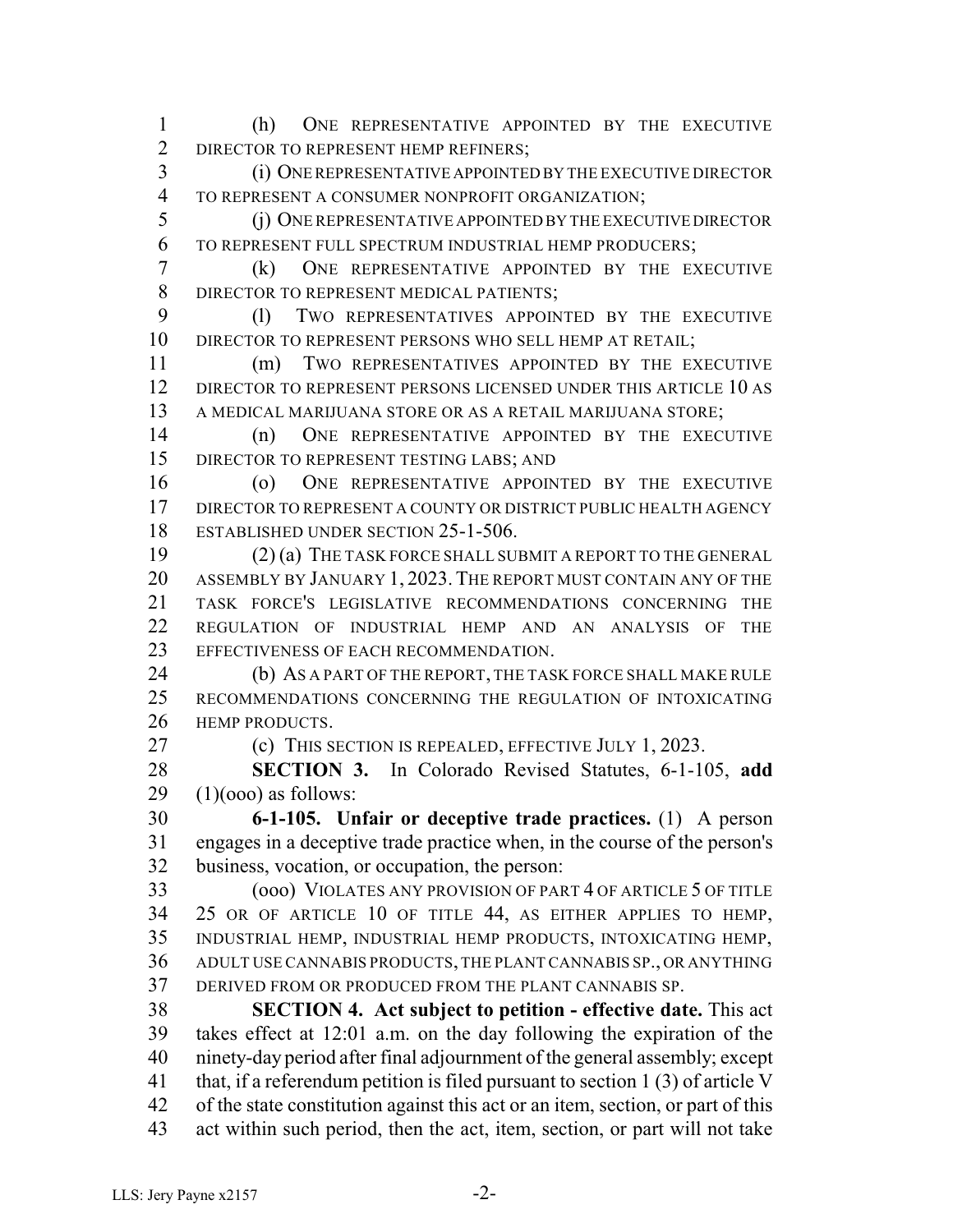(h) ONE REPRESENTATIVE APPOINTED BY THE EXECUTIVE 2 DIRECTOR TO REPRESENT HEMP REFINERS; (i) ONEREPRESENTATIVE APPOINTED BY THE EXECUTIVE DIRECTOR TO REPRESENT A CONSUMER NONPROFIT ORGANIZATION;

 (j) ONE REPRESENTATIVE APPOINTED BY THE EXECUTIVE DIRECTOR TO REPRESENT FULL SPECTRUM INDUSTRIAL HEMP PRODUCERS;

 (k) ONE REPRESENTATIVE APPOINTED BY THE EXECUTIVE DIRECTOR TO REPRESENT MEDICAL PATIENTS;

 (l) TWO REPRESENTATIVES APPOINTED BY THE EXECUTIVE DIRECTOR TO REPRESENT PERSONS WHO SELL HEMP AT RETAIL;

 (m) TWO REPRESENTATIVES APPOINTED BY THE EXECUTIVE DIRECTOR TO REPRESENT PERSONS LICENSED UNDER THIS ARTICLE 10 AS A MEDICAL MARIJUANA STORE OR AS A RETAIL MARIJUANA STORE;

 (n) ONE REPRESENTATIVE APPOINTED BY THE EXECUTIVE 15 DIRECTOR TO REPRESENT TESTING LABS; AND

 (o) ONE REPRESENTATIVE APPOINTED BY THE EXECUTIVE DIRECTOR TO REPRESENT A COUNTY OR DISTRICT PUBLIC HEALTH AGENCY ESTABLISHED UNDER SECTION 25-1-506.

 (2) (a) THE TASK FORCE SHALL SUBMIT A REPORT TO THE GENERAL ASSEMBLY BY JANUARY 1, 2023.THE REPORT MUST CONTAIN ANY OF THE TASK FORCE'S LEGISLATIVE RECOMMENDATIONS CONCERNING THE REGULATION OF INDUSTRIAL HEMP AND AN ANALYSIS OF THE EFFECTIVENESS OF EACH RECOMMENDATION.

24 (b) AS A PART OF THE REPORT, THE TASK FORCE SHALL MAKE RULE RECOMMENDATIONS CONCERNING THE REGULATION OF INTOXICATING **HEMP PRODUCTS** 

(c) THIS SECTION IS REPEALED, EFFECTIVE JULY 1, 2023.

 **SECTION 3.** In Colorado Revised Statutes, 6-1-105, **add** (1)(000) as follows:

 **6-1-105. Unfair or deceptive trade practices.** (1) A person engages in a deceptive trade practice when, in the course of the person's business, vocation, or occupation, the person:

 (ooo) VIOLATES ANY PROVISION OF PART 4 OF ARTICLE 5 OF TITLE 25 OR OF ARTICLE 10 OF TITLE 44, AS EITHER APPLIES TO HEMP, INDUSTRIAL HEMP, INDUSTRIAL HEMP PRODUCTS, INTOXICATING HEMP, ADULT USE CANNABIS PRODUCTS,THE PLANT CANNABIS SP., OR ANYTHING DERIVED FROM OR PRODUCED FROM THE PLANT CANNABIS SP.

 **SECTION 4. Act subject to petition - effective date.** This act takes effect at 12:01 a.m. on the day following the expiration of the ninety-day period after final adjournment of the general assembly; except that, if a referendum petition is filed pursuant to section 1 (3) of article V of the state constitution against this act or an item, section, or part of this act within such period, then the act, item, section, or part will not take